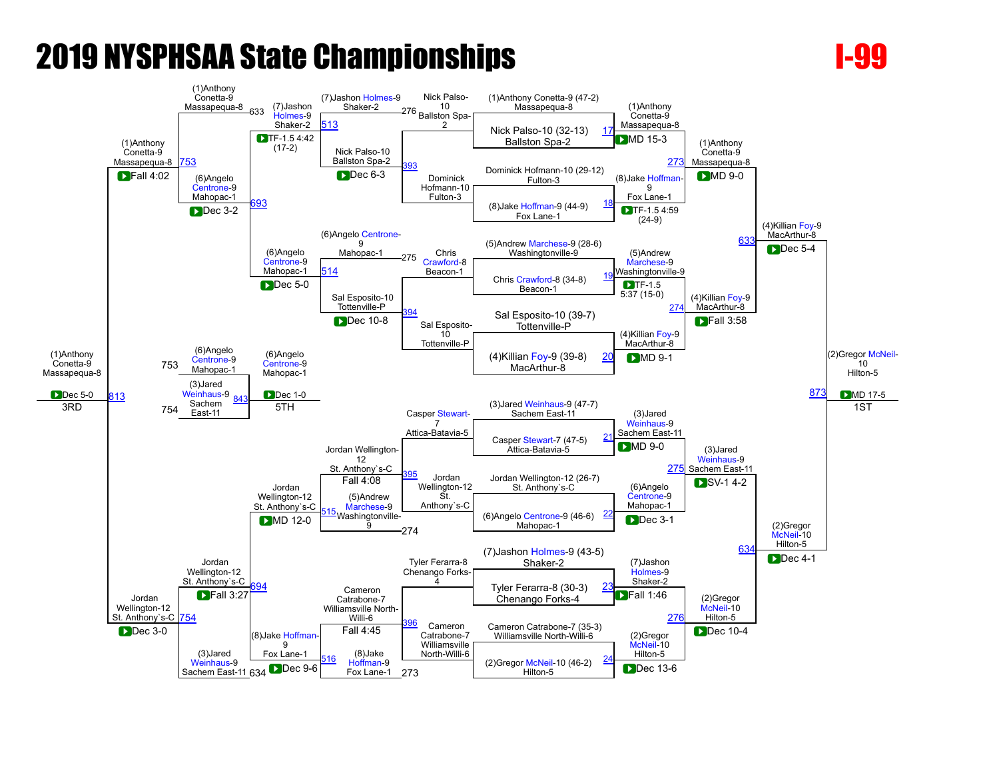

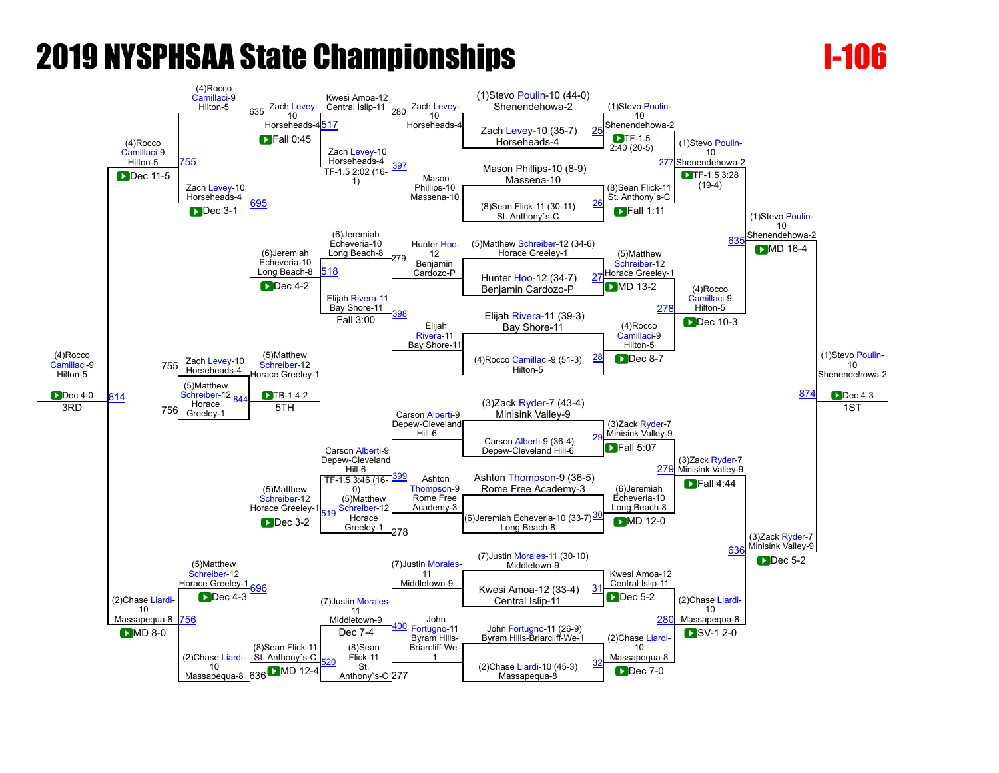

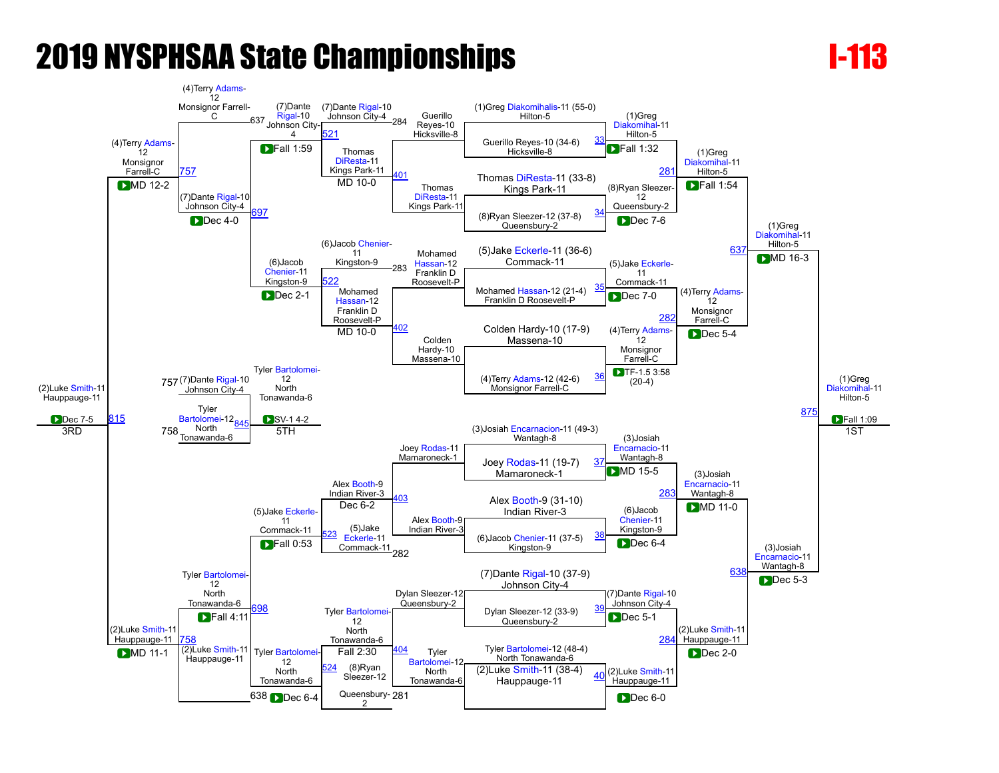

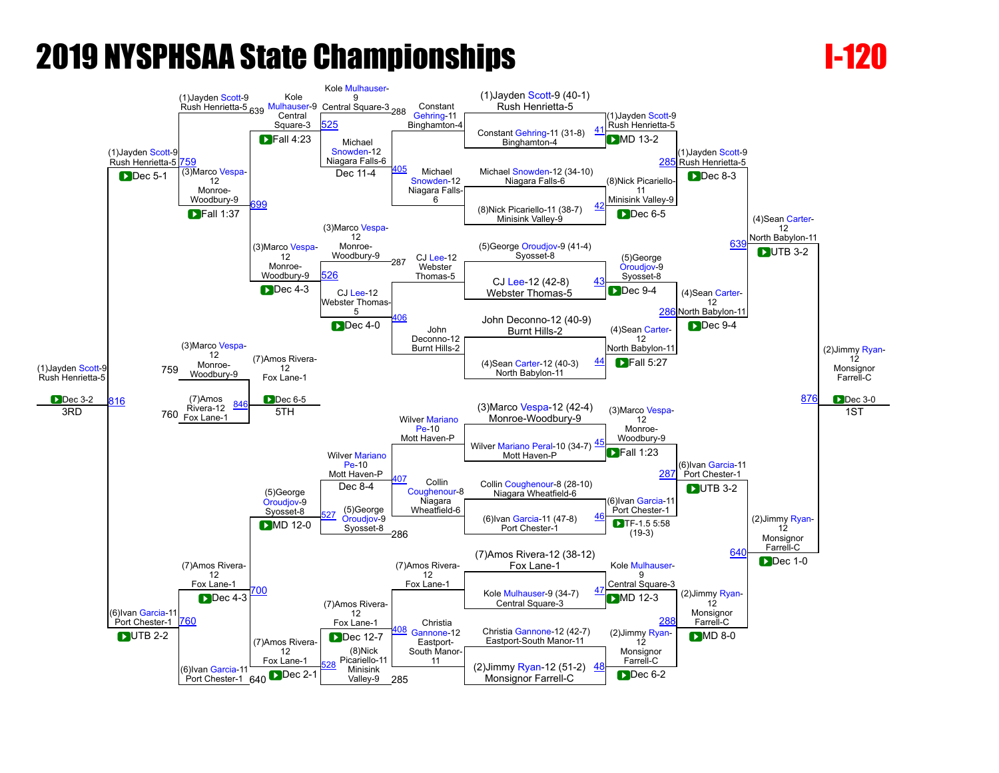

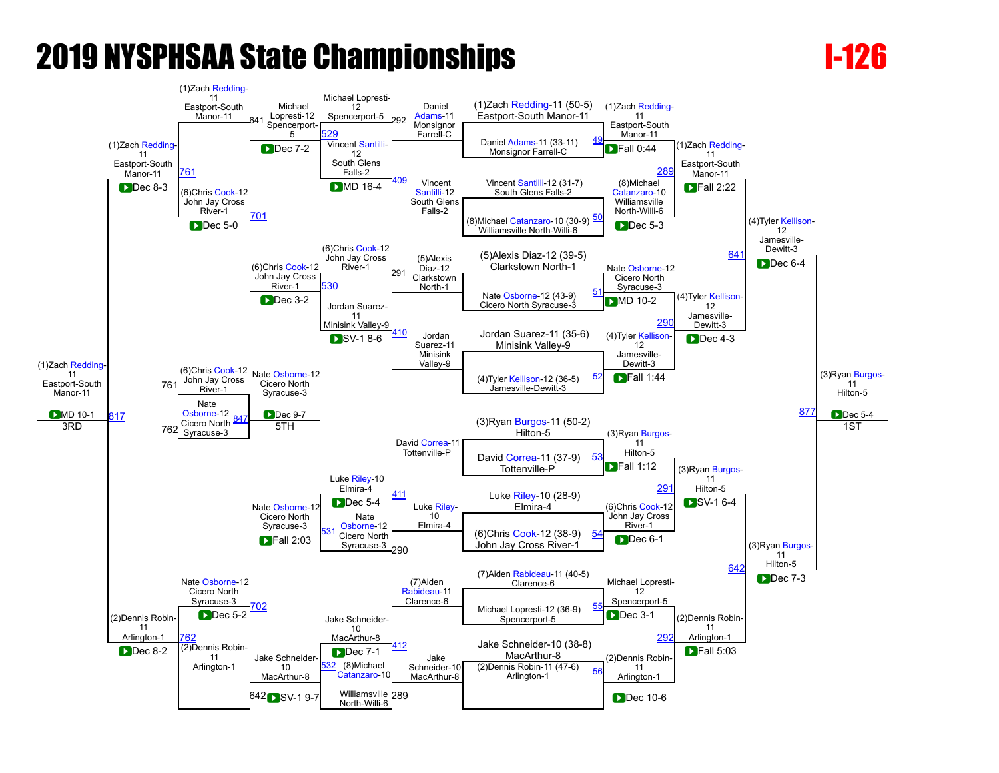

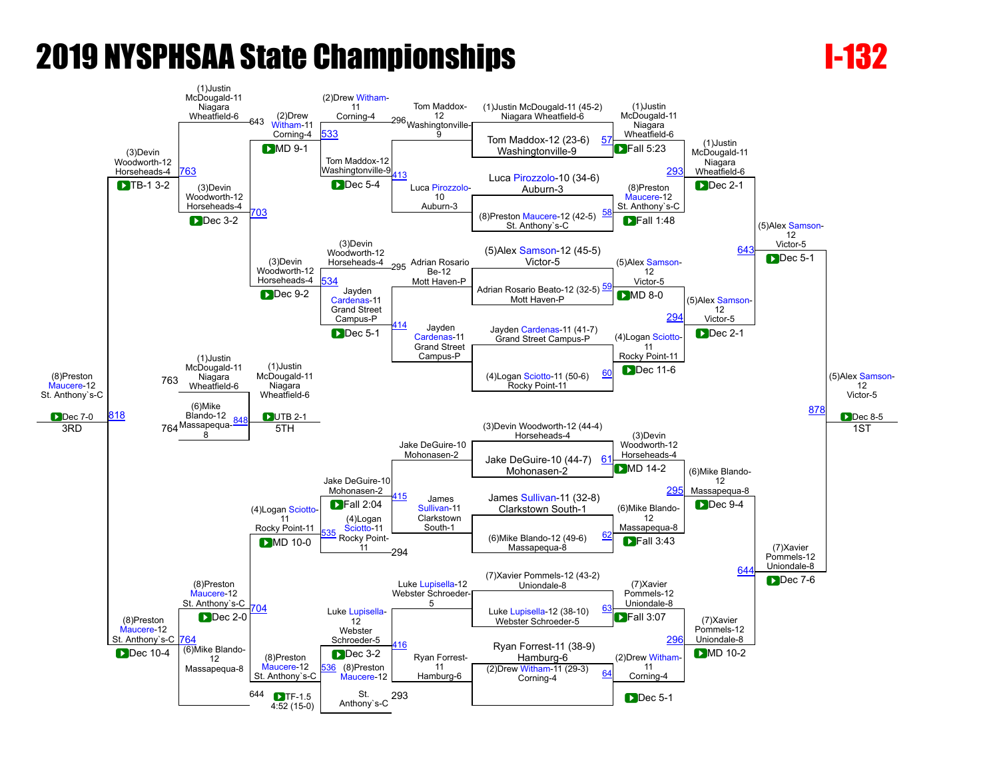

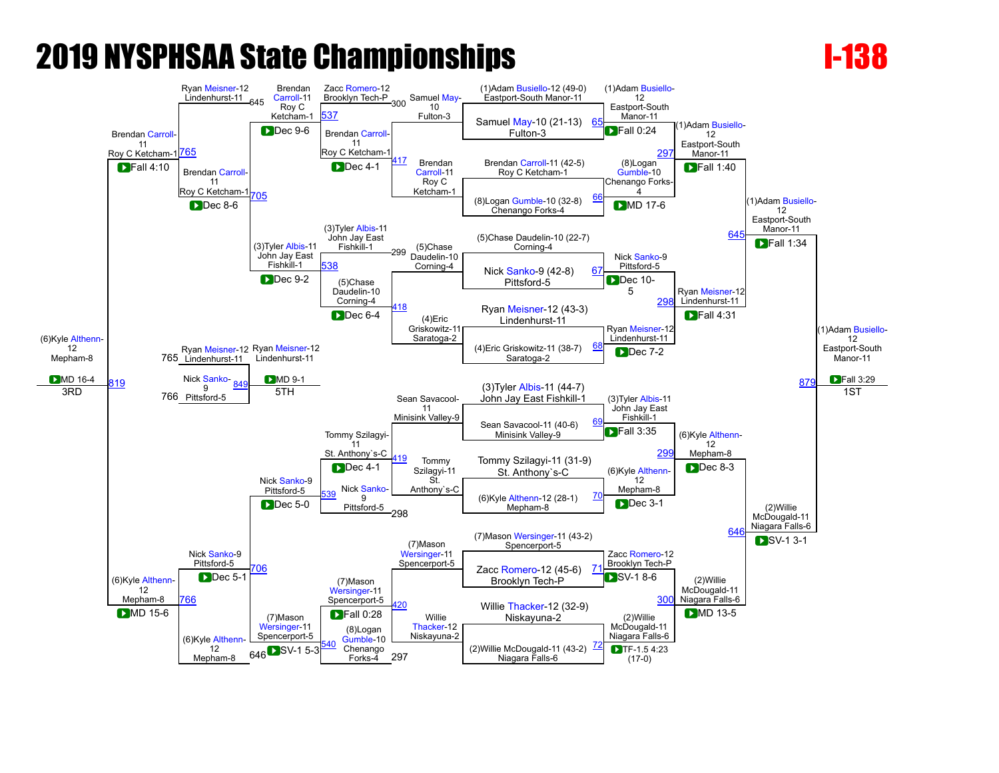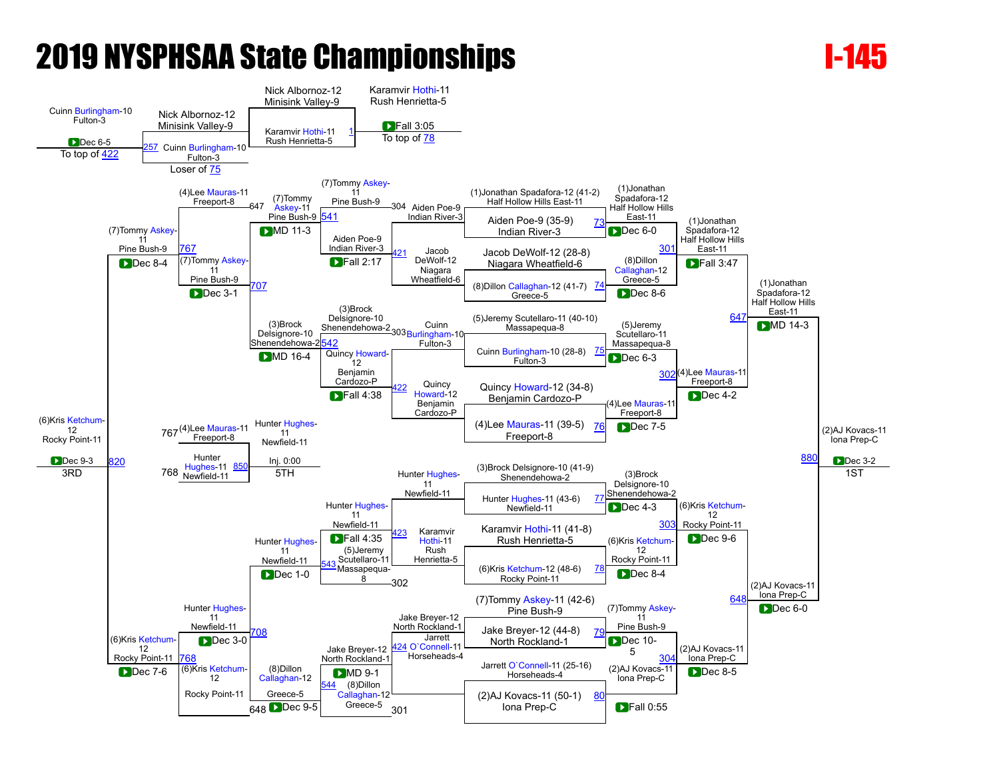

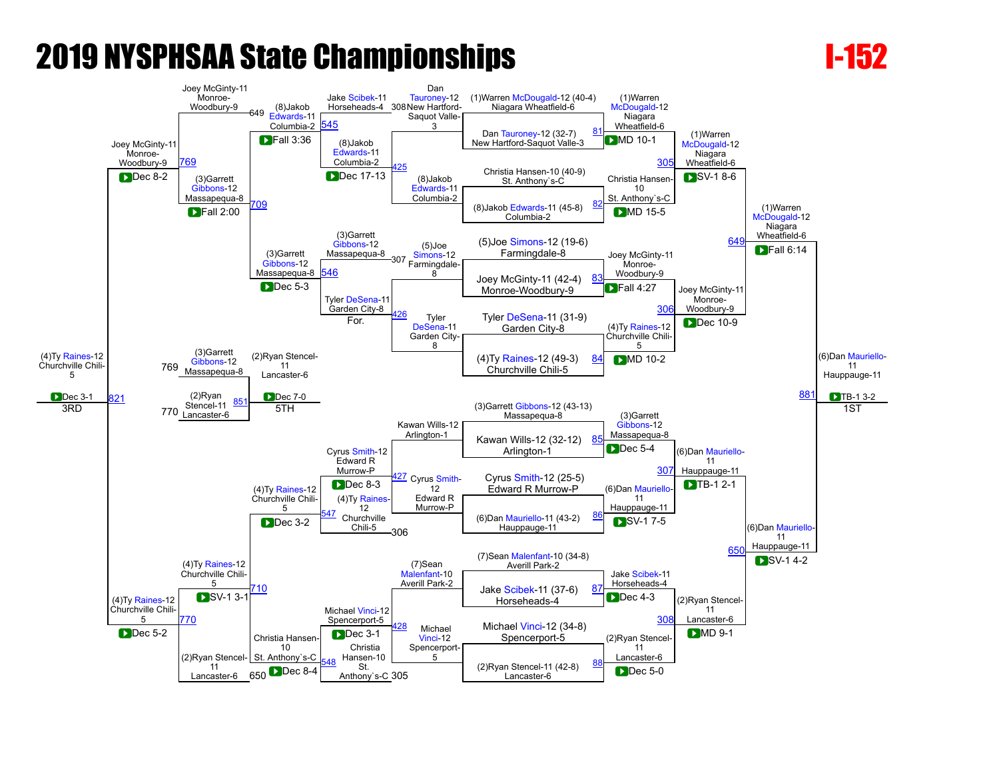

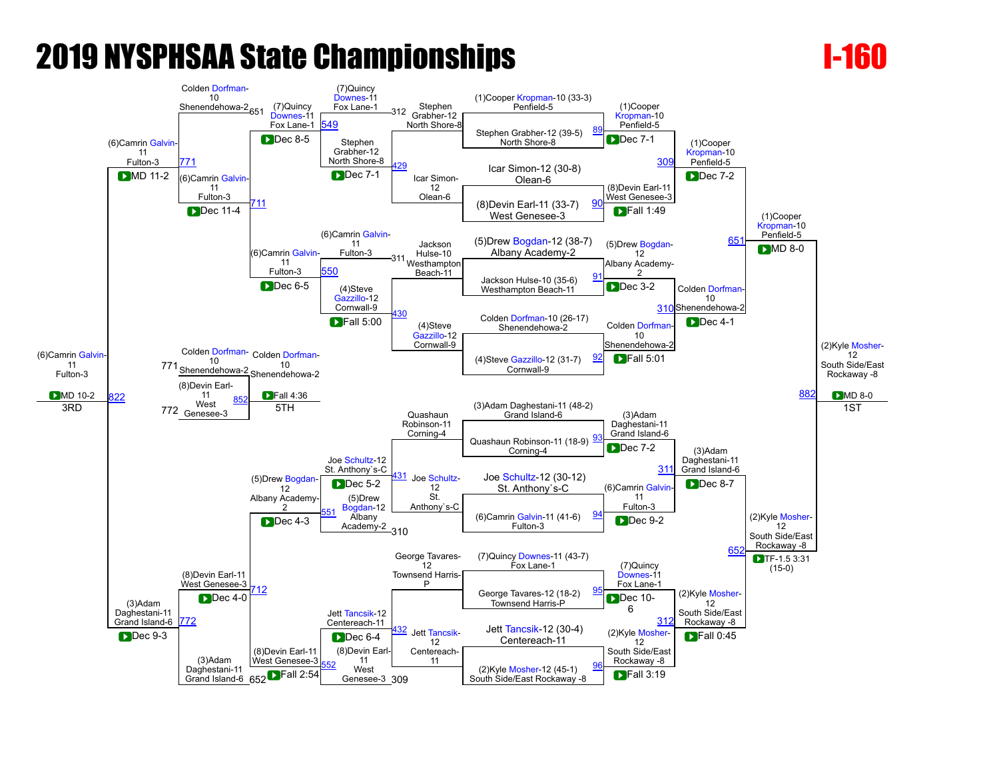

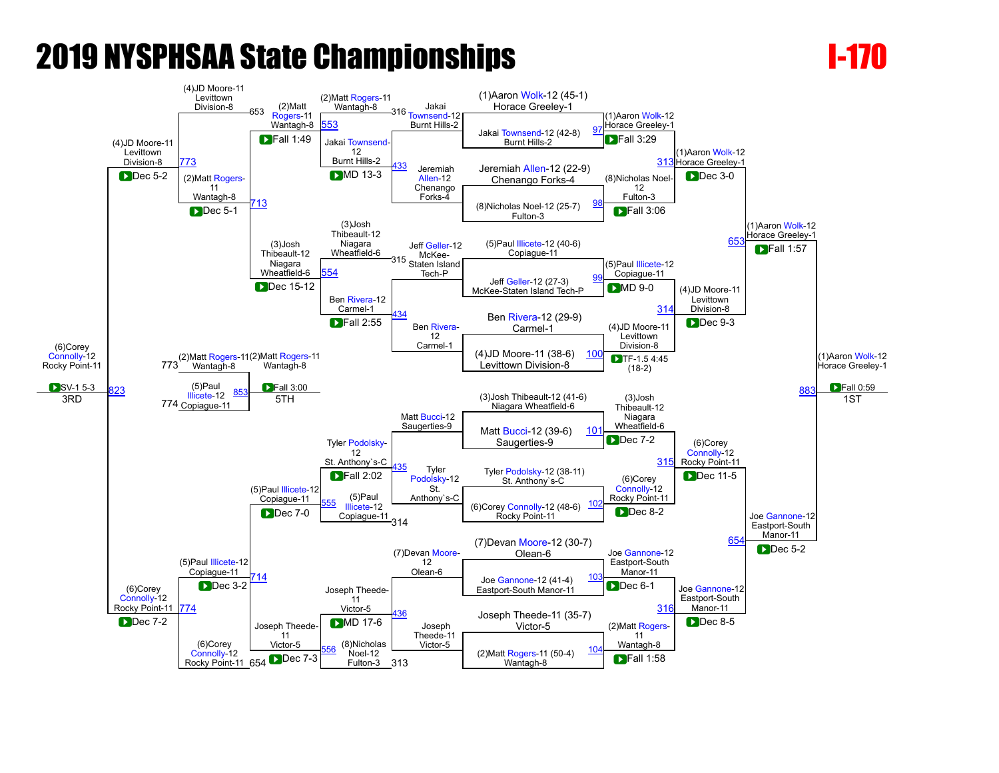

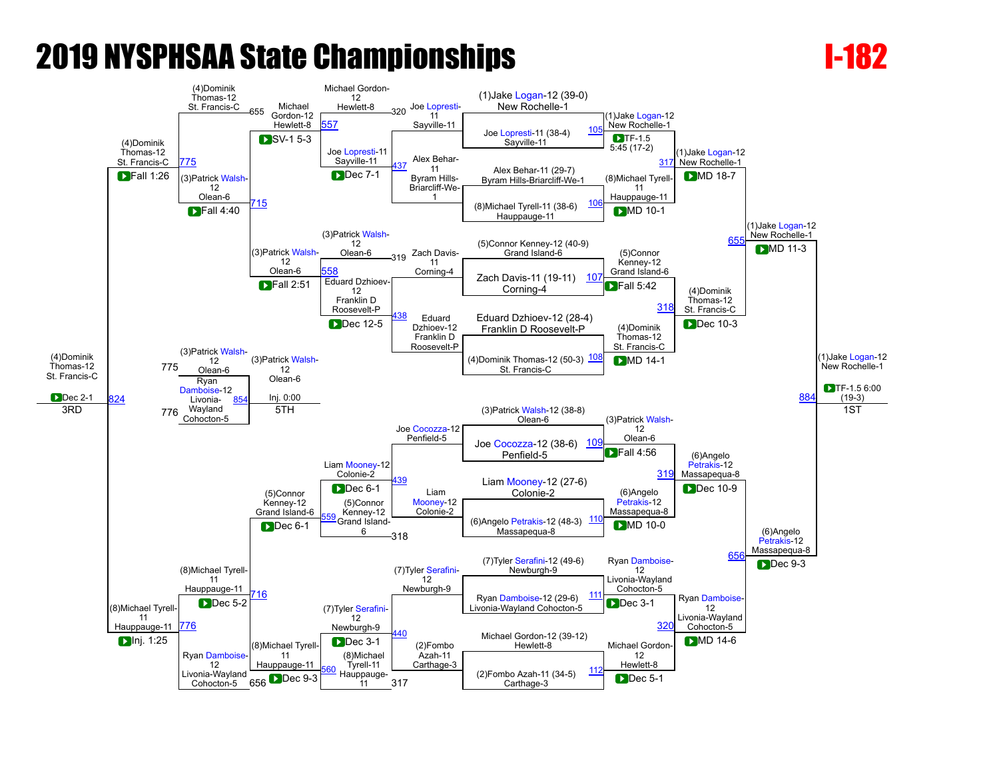

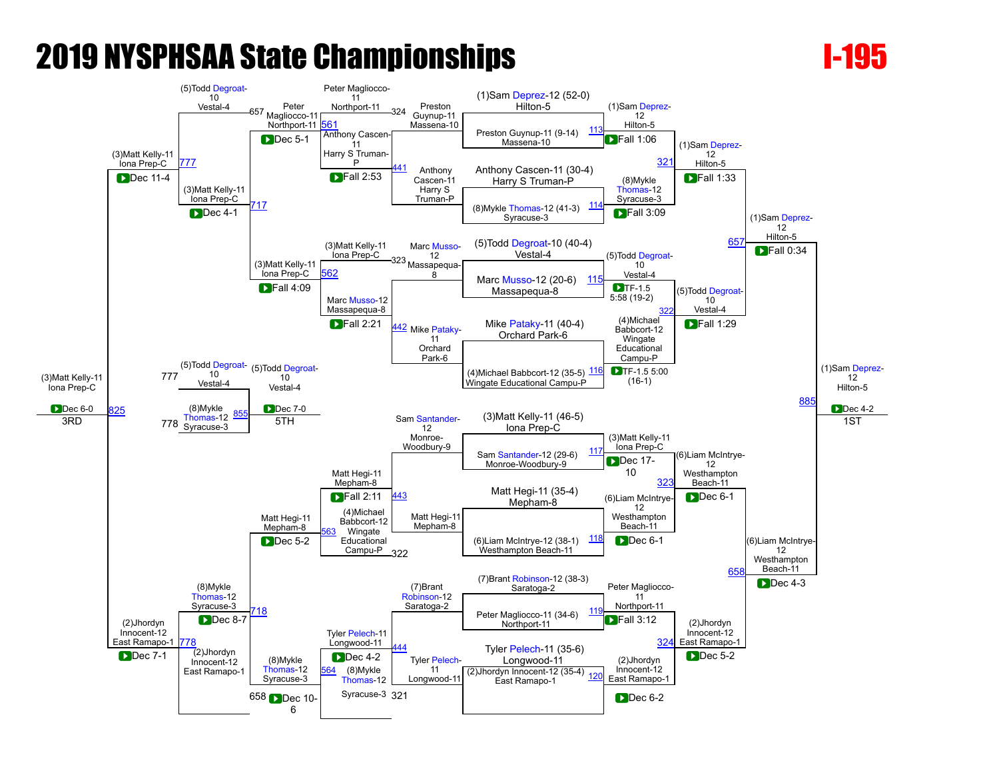

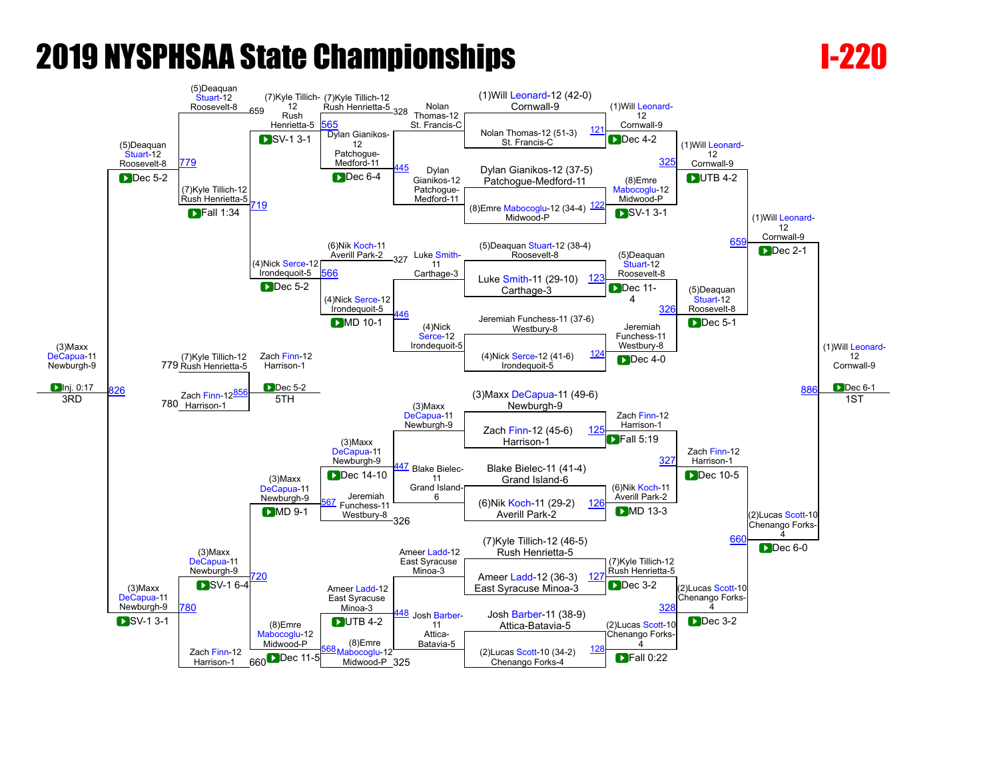